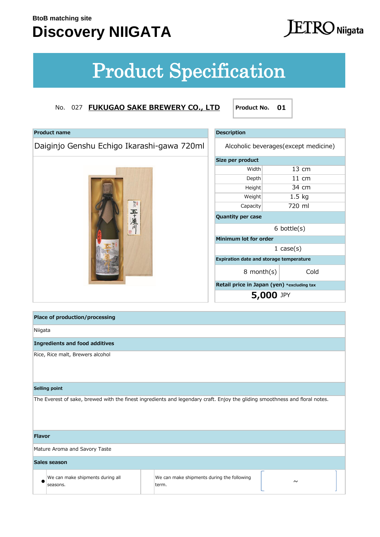**Product name**

## **Discovery NIIGATA**

# $ETRO$  Niigata

# Product Specification

### No. 027 **FUKUGAO SAKE BREWERY CO., LTD**

| 五十嵐川

Daiginjo Genshu Echigo Ikarashi-gawa 720ml

**Product No. 01**

| <b>Description</b>                             |  |                  |  |  |
|------------------------------------------------|--|------------------|--|--|
| Alcoholic beverages (except medicine)          |  |                  |  |  |
| Size per product                               |  |                  |  |  |
| Width                                          |  | $13 \text{ cm}$  |  |  |
| Depth                                          |  | $11 \text{ cm}$  |  |  |
| Height                                         |  | 34 cm            |  |  |
| Weight                                         |  | $1.5$ kg         |  |  |
| Capacity                                       |  | 720 ml           |  |  |
| <b>Quantity per case</b>                       |  |                  |  |  |
|                                                |  | $6$ bottle $(s)$ |  |  |
| Minimum lot for order                          |  |                  |  |  |
|                                                |  | 1 $case(s)$      |  |  |
| <b>Expiration date and storage temperature</b> |  |                  |  |  |
| Cold<br>$8$ month $(s)$                        |  |                  |  |  |
| Retail price in Japan (yen) *excluding tax     |  |                  |  |  |
| <b>5,000 JPY</b>                               |  |                  |  |  |

|               | Place of production/processing               |  |                                                                                                                             |  |  |  |  |
|---------------|----------------------------------------------|--|-----------------------------------------------------------------------------------------------------------------------------|--|--|--|--|
|               | Niigata                                      |  |                                                                                                                             |  |  |  |  |
|               | <b>Ingredients and food additives</b>        |  |                                                                                                                             |  |  |  |  |
|               | Rice, Rice malt, Brewers alcohol             |  |                                                                                                                             |  |  |  |  |
|               | Selling point                                |  |                                                                                                                             |  |  |  |  |
|               |                                              |  | The Everest of sake, brewed with the finest ingredients and legendary craft. Enjoy the gliding smoothness and floral notes. |  |  |  |  |
| <b>Flavor</b> |                                              |  |                                                                                                                             |  |  |  |  |
|               | Mature Aroma and Savory Taste                |  |                                                                                                                             |  |  |  |  |
|               | Sales season                                 |  |                                                                                                                             |  |  |  |  |
|               | We can make shipments during all<br>seasons. |  | We can make shipments during the following<br>$\sim$<br>term.                                                               |  |  |  |  |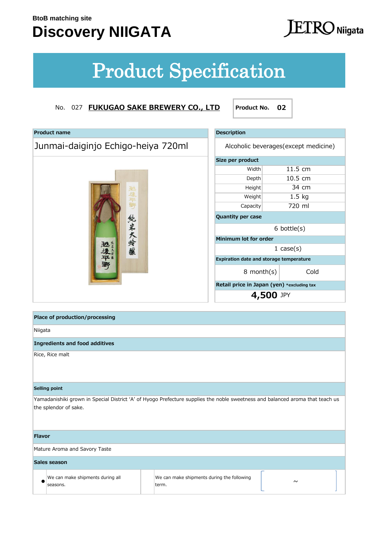## **Discovery NIIGATA**

# **ETRO** Niigata

# Product Specification

| <b>Product name</b>                | <b>Description</b>                    |                                            |      |
|------------------------------------|---------------------------------------|--------------------------------------------|------|
| Junmai-daiginjo Echigo-heiya 720ml | Alcoholic beverages (except medicine) |                                            |      |
|                                    | Size per product                      |                                            |      |
|                                    | Width                                 | 11.5 cm                                    |      |
|                                    | Depth                                 | 10.5 cm                                    |      |
|                                    | Height                                | 34 cm                                      |      |
| 巡視平野                               | Weight                                | $1.5$ kg                                   |      |
|                                    | Capacity                              | 720 ml                                     |      |
|                                    | Quantity per case                     |                                            |      |
|                                    | $6$ bottle $(s)$                      |                                            |      |
|                                    | Minimum lot for order                 |                                            |      |
| 純米大玲釀<br>逃失                        |                                       | 1 $case(s)$                                |      |
|                                    |                                       | Expiration date and storage temperature    |      |
|                                    | $8$ month $(s)$                       |                                            | Cold |
|                                    |                                       | Retail price in Japan (yen) *excluding tax |      |
|                                    |                                       | 4,500 JPY                                  |      |
|                                    |                                       |                                            |      |
|                                    |                                       |                                            |      |

| <b>Description</b>                             |  |                   |  |  |
|------------------------------------------------|--|-------------------|--|--|
| Alcoholic beverages (except medicine)          |  |                   |  |  |
| Size per product                               |  |                   |  |  |
| Width                                          |  | $11.5 \text{ cm}$ |  |  |
| Depth                                          |  | 10.5 cm           |  |  |
| Height                                         |  | 34 cm             |  |  |
| Weight                                         |  | $1.5$ kg          |  |  |
| Capacity                                       |  | 720 ml            |  |  |
| <b>Quantity per case</b>                       |  |                   |  |  |
|                                                |  | $6$ bottle $(s)$  |  |  |
| Minimum lot for order                          |  |                   |  |  |
|                                                |  | $1 \cose(s)$      |  |  |
| <b>Expiration date and storage temperature</b> |  |                   |  |  |
| 8 month(s)                                     |  | Cold              |  |  |
| Retail price in Japan (yen) *excluding tax     |  |                   |  |  |
| 4,500 JPY                                      |  |                   |  |  |

| Place of production/processing               |                                                                                                                               |
|----------------------------------------------|-------------------------------------------------------------------------------------------------------------------------------|
| Niigata                                      |                                                                                                                               |
| <b>Ingredients and food additives</b>        |                                                                                                                               |
| Rice, Rice malt                              |                                                                                                                               |
| Selling point                                |                                                                                                                               |
| the splendor of sake.                        | Yamadanishiki grown in Special District 'A' of Hyogo Prefecture supplies the noble sweetness and balanced aroma that teach us |
| <b>Flavor</b>                                |                                                                                                                               |
| Mature Aroma and Savory Taste                |                                                                                                                               |
| Sales season                                 |                                                                                                                               |
| We can make shipments during all<br>seasons. | We can make shipments during the following<br>$\sim$<br>term.                                                                 |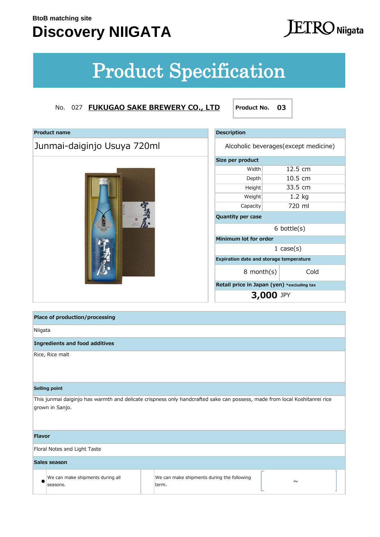## **Discovery NIIGATA**

# **ETRO** Niigata

# Product Specification

| <b>Product name</b>         | <b>Description</b>                         |                                       |      |
|-----------------------------|--------------------------------------------|---------------------------------------|------|
| Junmai-daiginjo Usuya 720ml |                                            | Alcoholic beverages (except medicine) |      |
|                             | Size per product                           |                                       |      |
|                             | Width                                      | 12.5 cm                               |      |
|                             | Depth                                      | 10.5 cm                               |      |
|                             | Height                                     | 33.5 cm                               |      |
|                             | Weight                                     | $1.2$ kg                              |      |
|                             | Capacity                                   | 720 ml                                |      |
|                             | Quantity per case                          |                                       |      |
| <b>Succession</b><br>就清醒    | $6$ bottle $(s)$                           |                                       |      |
|                             | Minimum lot for order                      |                                       |      |
|                             | $1 \cose(s)$                               |                                       |      |
|                             | Expiration date and storage temperature    |                                       |      |
|                             | $8$ month $(s)$                            |                                       | Cold |
|                             | Retail price in Japan (yen) *excluding tax |                                       |      |
|                             |                                            | <b>3,000 JPY</b>                      |      |

| <b>Description</b>                             |                                            |                   |  |  |
|------------------------------------------------|--------------------------------------------|-------------------|--|--|
| Alcoholic beverages (except medicine)          |                                            |                   |  |  |
| Size per product                               |                                            |                   |  |  |
| Width                                          |                                            | $12.5 \text{ cm}$ |  |  |
| Depth                                          |                                            | $10.5 \text{ cm}$ |  |  |
| Height                                         |                                            | 33.5 cm           |  |  |
| Weight                                         |                                            | $1.2$ kg          |  |  |
| Capacity                                       |                                            | 720 ml            |  |  |
| <b>Quantity per case</b>                       |                                            |                   |  |  |
|                                                |                                            | $6$ bottle $(s)$  |  |  |
| Minimum lot for order                          |                                            |                   |  |  |
| $1 \cose(s)$                                   |                                            |                   |  |  |
| <b>Expiration date and storage temperature</b> |                                            |                   |  |  |
| $8$ month $(s)$                                |                                            | Cold              |  |  |
|                                                | Retail price in Japan (yen) *excluding tax |                   |  |  |
| <b>3,000 JPY</b>                               |                                            |                   |  |  |

|               | Place of production/processing               |  |                                                                                                                            |  |  |  |
|---------------|----------------------------------------------|--|----------------------------------------------------------------------------------------------------------------------------|--|--|--|
| Niigata       |                                              |  |                                                                                                                            |  |  |  |
|               | <b>Ingredients and food additives</b>        |  |                                                                                                                            |  |  |  |
|               | Rice, Rice malt                              |  |                                                                                                                            |  |  |  |
|               | Selling point                                |  |                                                                                                                            |  |  |  |
|               | grown in Sanjo.                              |  | This junmai daiginjo has warmth and delicate crispness only handcrafted sake can possess, made from local Koshitanrei rice |  |  |  |
| <b>Flavor</b> |                                              |  |                                                                                                                            |  |  |  |
|               | Floral Notes and Light Taste                 |  |                                                                                                                            |  |  |  |
|               | Sales season                                 |  |                                                                                                                            |  |  |  |
|               | We can make shipments during all<br>seasons. |  | We can make shipments during the following<br>$\sim$<br>term.                                                              |  |  |  |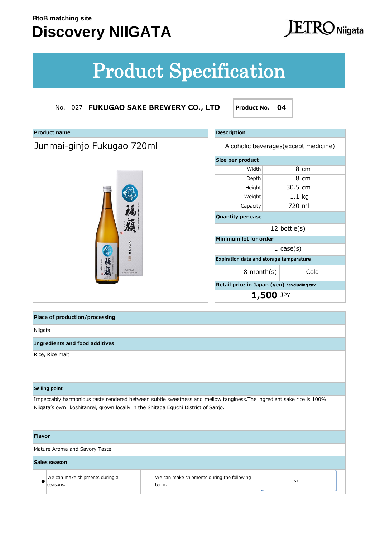## **Discovery NIIGATA**

# **JETRO** Niigata

# Product Specification

| <b>Product name</b>                      | <b>Description</b>                                      |                 |  |  |
|------------------------------------------|---------------------------------------------------------|-----------------|--|--|
| Junmai-ginjo Fukugao 720ml               | Alcoholic beverages(except medicine)                    |                 |  |  |
|                                          | Size per product                                        |                 |  |  |
|                                          | Width                                                   | 8 cm            |  |  |
|                                          | Depth                                                   | 8 cm            |  |  |
|                                          | Height                                                  | 30.5 cm         |  |  |
|                                          | Weight                                                  | $1.1$ kg        |  |  |
|                                          | Capacity                                                | 720 ml          |  |  |
|                                          | Quantity per case                                       |                 |  |  |
| 骊                                        |                                                         | 12 bottle $(s)$ |  |  |
|                                          | Minimum lot for order                                   |                 |  |  |
| 純米吟醸酒                                    | $1 \cose(s)$<br>Expiration date and storage temperature |                 |  |  |
| 幽                                        |                                                         |                 |  |  |
| <b>FUKUGAO</b><br><b>EODUCT OF JATAN</b> | $8$ month $(s)$                                         | Cold            |  |  |
|                                          | Retail price in Japan (yen) *excluding tax              |                 |  |  |
|                                          | 1,500 JPY                                               |                 |  |  |
|                                          |                                                         |                 |  |  |
| Place of production/processing           |                                                         |                 |  |  |
| Niigata                                  |                                                         |                 |  |  |
| <b>Ingredients and food additives</b>    |                                                         |                 |  |  |
| Rice, Rice malt                          |                                                         |                 |  |  |

| Description                           |                                                |  |  |  |
|---------------------------------------|------------------------------------------------|--|--|--|
| Alcoholic beverages (except medicine) |                                                |  |  |  |
| Size per product                      |                                                |  |  |  |
| Width                                 | 8 cm                                           |  |  |  |
| Depth                                 | 8 cm                                           |  |  |  |
| Height                                | 30.5 cm                                        |  |  |  |
| Weight                                | $1.1$ kg                                       |  |  |  |
| Capacity                              | 720 ml                                         |  |  |  |
| <b>Quantity per case</b>              |                                                |  |  |  |
| 12 bottle $(s)$                       |                                                |  |  |  |
| Minimum lot for order                 |                                                |  |  |  |
|                                       | 1 $case(s)$                                    |  |  |  |
|                                       | <b>Expiration date and storage temperature</b> |  |  |  |
| $8$ month $(s)$                       | Cold                                           |  |  |  |
|                                       | Retail price in Japan (yen) *excluding tax     |  |  |  |
| 1,500 JPY                             |                                                |  |  |  |

|               | Place of production/processing                                                     |                                                                                                                      |        |  |
|---------------|------------------------------------------------------------------------------------|----------------------------------------------------------------------------------------------------------------------|--------|--|
| Niigata       |                                                                                    |                                                                                                                      |        |  |
|               | <b>Ingredients and food additives</b>                                              |                                                                                                                      |        |  |
|               | Rice, Rice malt                                                                    |                                                                                                                      |        |  |
|               | Selling point                                                                      |                                                                                                                      |        |  |
|               | Niigata's own: koshitanrei, grown locally in the Shitada Eguchi District of Sanjo. | Impeccably harmonious taste rendered between subtle sweetness and mellow tanginess. The ingredient sake rice is 100% |        |  |
| <b>Flavor</b> |                                                                                    |                                                                                                                      |        |  |
|               | Mature Aroma and Savory Taste                                                      |                                                                                                                      |        |  |
|               | Sales season                                                                       |                                                                                                                      |        |  |
|               | We can make shipments during all<br>seasons.                                       | We can make shipments during the following<br>term.                                                                  | $\sim$ |  |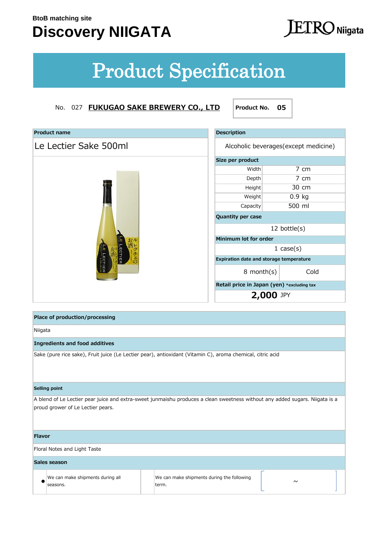## **Discovery NIIGATA**

# **ETRO** Niigata

# Product Specification

| <b>Product name</b>   | <b>Description</b>                         |           |                                      |  |
|-----------------------|--------------------------------------------|-----------|--------------------------------------|--|
| Le Lectier Sake 500ml |                                            |           | Alcoholic beverages(except medicine) |  |
|                       | Size per product                           |           |                                      |  |
|                       | Width                                      |           | 7 cm                                 |  |
|                       | Depth                                      |           | 7 cm                                 |  |
|                       | Height                                     |           | 30 cm                                |  |
|                       | Weight                                     |           | $0.9$ kg                             |  |
|                       | Capacity                                   |           | 500 ml                               |  |
|                       | Quantity per case                          |           |                                      |  |
|                       | 12 bottle $(s)$                            |           |                                      |  |
|                       | Minimum lot for order                      |           |                                      |  |
| レクチェの                 | $1 \cose(s)$                               |           |                                      |  |
| LECTIER<br>LECTIER    | Expiration date and storage temperature    |           |                                      |  |
|                       | $8$ month $(s)$                            |           | Cold                                 |  |
|                       | Retail price in Japan (yen) *excluding tax |           |                                      |  |
|                       |                                            | 2,000 JPY |                                      |  |

| <b>Description</b>                             |                         |              |  |  |  |
|------------------------------------------------|-------------------------|--------------|--|--|--|
| Alcoholic beverages (except medicine)          |                         |              |  |  |  |
| Size per product                               |                         |              |  |  |  |
| Width                                          |                         | 7 cm         |  |  |  |
| Depth                                          |                         | 7 cm         |  |  |  |
| Height                                         |                         | 30 cm        |  |  |  |
| Weight                                         |                         | $0.9$ kg     |  |  |  |
| 500 ml<br>Capacity                             |                         |              |  |  |  |
| <b>Quantity per case</b>                       |                         |              |  |  |  |
|                                                | 12 bottle $(s)$         |              |  |  |  |
| Minimum lot for order                          |                         |              |  |  |  |
|                                                |                         | $1 \cose(s)$ |  |  |  |
| <b>Expiration date and storage temperature</b> |                         |              |  |  |  |
|                                                | Cold<br>$8$ month $(s)$ |              |  |  |  |
| Retail price in Japan (yen) *excluding tax     |                         |              |  |  |  |
| <b>2,000 JPY</b>                               |                         |              |  |  |  |

|               | Place of production/processing               |                                                                                                                              |        |  |
|---------------|----------------------------------------------|------------------------------------------------------------------------------------------------------------------------------|--------|--|
| Niigata       |                                              |                                                                                                                              |        |  |
|               | <b>Ingredients and food additives</b>        |                                                                                                                              |        |  |
|               |                                              | Sake (pure rice sake), Fruit juice (Le Lectier pear), antioxidant (Vitamin C), aroma chemical, citric acid                   |        |  |
|               | Selling point                                |                                                                                                                              |        |  |
|               | proud grower of Le Lectier pears.            | A blend of Le Lectier pear juice and extra-sweet junmaishu produces a clean sweetness without any added sugars. Niigata is a |        |  |
| <b>Flavor</b> |                                              |                                                                                                                              |        |  |
|               | Floral Notes and Light Taste                 |                                                                                                                              |        |  |
|               | Sales season                                 |                                                                                                                              |        |  |
|               | We can make shipments during all<br>seasons. | We can make shipments during the following<br>term.                                                                          | $\sim$ |  |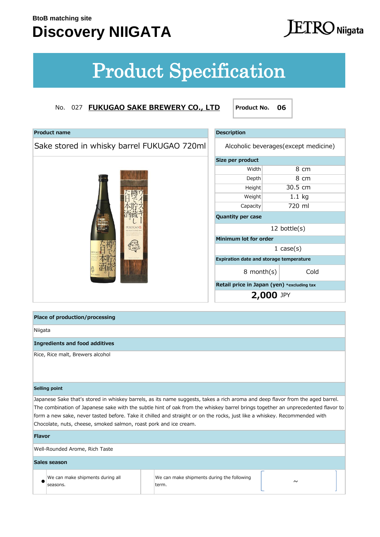### **Discovery NIIGATA**

# $\Gamma$  $\rm{KO}$  Niigata

# Product Specification

### No. 027 **FUKUGAO SAKE BREWERY CO., LTD Product No. 06**

| <b>Product name</b>                        | <b>Description</b>                         |           |              |  |
|--------------------------------------------|--------------------------------------------|-----------|--------------|--|
| Sake stored in whisky barrel FUKUGAO 720ml | Alcoholic beverages (except medicine)      |           |              |  |
|                                            | Size per product                           |           |              |  |
|                                            | Width                                      |           | 8 cm         |  |
|                                            | Depth                                      |           | 8 cm         |  |
|                                            | Height                                     |           | 30.5 cm      |  |
|                                            | Weight                                     |           | $1.1$ kg     |  |
|                                            | Capacity                                   |           | 720 ml       |  |
|                                            | Quantity per case                          |           |              |  |
|                                            | 12 bottle $(s)$                            |           |              |  |
|                                            | Minimum lot for order                      |           |              |  |
|                                            |                                            |           | $1 \cose(s)$ |  |
|                                            | Expiration date and storage temperature    |           |              |  |
| 三ミは航西市                                     | $8$ month $(s)$                            |           | Cold         |  |
|                                            | Retail price in Japan (yen) *excluding tax |           |              |  |
|                                            |                                            | 2,000 JPY |              |  |
|                                            |                                            |           |              |  |
|                                            |                                            |           |              |  |

| <b>Description</b>                             |              |          |  |  |  |
|------------------------------------------------|--------------|----------|--|--|--|
| Alcoholic beverages (except medicine)          |              |          |  |  |  |
| Size per product                               |              |          |  |  |  |
| Width                                          |              | 8 cm     |  |  |  |
| Depth                                          |              | 8 cm     |  |  |  |
| Height                                         |              | 30.5 cm  |  |  |  |
| Weight                                         |              | $1.1$ kg |  |  |  |
| Capacity                                       |              | 720 ml   |  |  |  |
| Quantity per case                              |              |          |  |  |  |
| 12 bottle $(s)$                                |              |          |  |  |  |
| Minimum lot for order                          |              |          |  |  |  |
|                                                | $1 \cose(s)$ |          |  |  |  |
| <b>Expiration date and storage temperature</b> |              |          |  |  |  |
| Cold<br>$8$ month $(s)$                        |              |          |  |  |  |
| Retail price in Japan (yen) *excluding tax     |              |          |  |  |  |
| <b>2,000 JPY</b>                               |              |          |  |  |  |

### # ● # ~ We can make shipments during the following **Ingredients and food additives**  Rice, Rice malt, Brewers alcohol **Place of production/processing** Niigata **Selling point** Japanese Sake that's stored in whiskey barrels, as its name suggests, takes a rich aroma and deep flavor from the aged barrel. The combination of Japanese sake with the subtle hint of oak from the whiskey barrel brings together an unprecedented flavor to form a new sake, never tasted before. Take it chilled and straight or on the rocks, just like a whiskey. Recommended with Chocolate, nuts, cheese, smoked salmon, roast pork and ice cream. Well-Rounded Arome, Rich Taste **Flavor Sales season** We can make shipments during all seasons. term.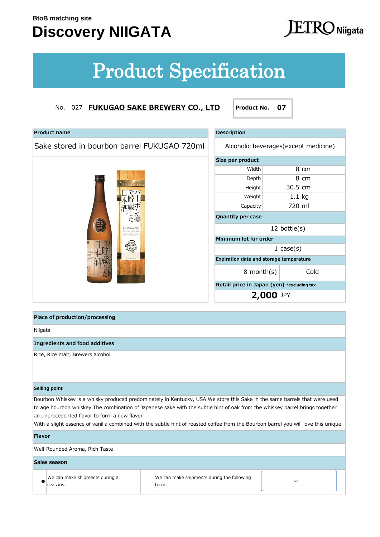## **Discovery NIIGATA**

# **ETRO** Niigata

# Product Specification

| <b>Product name</b>                         | <b>Description</b>                         |                                       |  |
|---------------------------------------------|--------------------------------------------|---------------------------------------|--|
| Sake stored in bourbon barrel FUKUGAO 720ml |                                            | Alcoholic beverages (except medicine) |  |
|                                             | Size per product                           |                                       |  |
|                                             | Width                                      | 8 cm                                  |  |
|                                             | Depth                                      | 8 cm                                  |  |
|                                             | Height                                     | 30.5 cm                               |  |
|                                             | Weight                                     | $1.1$ kg                              |  |
|                                             | Capacity                                   | 720 ml                                |  |
|                                             | Quantity per case                          |                                       |  |
| <b>FUKUGAO R</b>                            | 12 bottle $(s)$                            |                                       |  |
|                                             | Minimum lot for order                      |                                       |  |
|                                             |                                            | $1 \cose(s)$                          |  |
|                                             | Expiration date and storage temperature    |                                       |  |
|                                             | $8$ month $(s)$                            | Cold                                  |  |
|                                             | Retail price in Japan (yen) *excluding tax |                                       |  |
|                                             |                                            | 2,000 JPY                             |  |
|                                             |                                            |                                       |  |
|                                             |                                            |                                       |  |

| <b>Description</b>                             |                         |             |  |  |  |
|------------------------------------------------|-------------------------|-------------|--|--|--|
| Alcoholic beverages (except medicine)          |                         |             |  |  |  |
| Size per product                               |                         |             |  |  |  |
| Width                                          |                         | 8 cm        |  |  |  |
| Depth                                          |                         | 8 cm        |  |  |  |
| Height                                         |                         | 30.5 cm     |  |  |  |
| Weight                                         |                         | 1.1 kg      |  |  |  |
| Capacity                                       |                         | 720 ml      |  |  |  |
| <b>Quantity per case</b>                       |                         |             |  |  |  |
| $12$ bottle $(s)$                              |                         |             |  |  |  |
| Minimum lot for order                          |                         |             |  |  |  |
|                                                |                         | 1 $case(s)$ |  |  |  |
| <b>Expiration date and storage temperature</b> |                         |             |  |  |  |
|                                                | Cold<br>$8$ month $(s)$ |             |  |  |  |
| Retail price in Japan (yen) *excluding tax     |                         |             |  |  |  |
|                                                | <b>2,000 JPY</b>        |             |  |  |  |

|               | Place of production/processing               |                                                                                                                                                                                                                                                                                                                                                                                                 |        |  |
|---------------|----------------------------------------------|-------------------------------------------------------------------------------------------------------------------------------------------------------------------------------------------------------------------------------------------------------------------------------------------------------------------------------------------------------------------------------------------------|--------|--|
| Niigata       |                                              |                                                                                                                                                                                                                                                                                                                                                                                                 |        |  |
|               | <b>Ingredients and food additives</b>        |                                                                                                                                                                                                                                                                                                                                                                                                 |        |  |
|               | Rice, Rice malt, Brewers alcohol             |                                                                                                                                                                                                                                                                                                                                                                                                 |        |  |
|               | Selling point                                |                                                                                                                                                                                                                                                                                                                                                                                                 |        |  |
|               | an unprecedented flavor to form a new flavor | Bourbon Whiskey is a whisky produced predominately in Kentucky, USA We store this Sake in the same barrels that were used<br>to age bourbon whiskey. The combination of Japanese sake with the subtle hint of oak from the whiskey barrel brings together<br>With a slight essence of vanilla combined with the subtle hint of roasted coffee from the Bourbon barrel you will love this unique |        |  |
| <b>Flavor</b> |                                              |                                                                                                                                                                                                                                                                                                                                                                                                 |        |  |
|               | Well-Rounded Aroma, Rich Taste               |                                                                                                                                                                                                                                                                                                                                                                                                 |        |  |
|               | Sales season                                 |                                                                                                                                                                                                                                                                                                                                                                                                 |        |  |
|               | We can make shipments during all<br>seasons. | We can make shipments during the following<br>term.                                                                                                                                                                                                                                                                                                                                             | $\sim$ |  |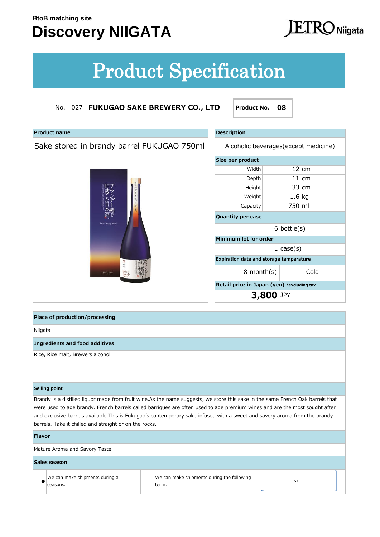### **Discovery NIIGATA**

# $\rm{I}$   $\rm{KO}$  Niigata

# Product Specification

### No. 027 **FUKUGAO SAKE BREWERY CO., LTD Product No. 08**

| Sake stored in brandy barrel FUKUGAO 750ml<br>Alcoholic beverages (except medicine)<br>Size per product<br>Width<br>12 cm<br>$11 \text{ cm}$<br>Depth<br>33 cm<br>Height<br>$1.6$ kg<br>Weight<br>750 ml<br>Capacity |  |
|----------------------------------------------------------------------------------------------------------------------------------------------------------------------------------------------------------------------|--|
|                                                                                                                                                                                                                      |  |
|                                                                                                                                                                                                                      |  |
|                                                                                                                                                                                                                      |  |
|                                                                                                                                                                                                                      |  |
|                                                                                                                                                                                                                      |  |
|                                                                                                                                                                                                                      |  |
|                                                                                                                                                                                                                      |  |
| <b>Quantity per case</b><br>Sake Brandy barrel                                                                                                                                                                       |  |
| $6$ bottle $(s)$                                                                                                                                                                                                     |  |
| Minimum lot for order                                                                                                                                                                                                |  |
| $1 \cose(s)$                                                                                                                                                                                                         |  |
| Expiration date and storage temperature                                                                                                                                                                              |  |
| Cold<br>$8$ month $(s)$<br>Sake<br>Brand<br>barrel<br><b>EUKUGAO</b>                                                                                                                                                 |  |
| Retail price in Japan (yen) *excluding tax                                                                                                                                                                           |  |
| 3,800 JPY                                                                                                                                                                                                            |  |

| <b>Description</b>                             |        |              |  |  |  |
|------------------------------------------------|--------|--------------|--|--|--|
| Alcoholic beverages (except medicine)          |        |              |  |  |  |
| Size per product                               |        |              |  |  |  |
| Width                                          |        | 12 cm        |  |  |  |
| Depth                                          |        | 11 cm        |  |  |  |
| Height                                         | 33 cm  |              |  |  |  |
| $1.6$ kg<br>Weight                             |        |              |  |  |  |
| Capacity                                       | 750 ml |              |  |  |  |
| <b>Quantity per case</b>                       |        |              |  |  |  |
| $6$ bottle $(s)$                               |        |              |  |  |  |
| Minimum lot for order                          |        |              |  |  |  |
|                                                |        | $1 \cose(s)$ |  |  |  |
| <b>Expiration date and storage temperature</b> |        |              |  |  |  |
| Cold<br>8 month(s)                             |        |              |  |  |  |
| Retail price in Japan (yen) *excluding tax     |        |              |  |  |  |
| <b>3,800 JPY</b>                               |        |              |  |  |  |

**Place of production/processing**

Niigata

**Ingredients and food additives** 

Rice, Rice malt, Brewers alcohol

### **Selling point**

Brandy is a distilled liquor made from fruit wine.As the name suggests, we store this sake in the same French Oak barrels that were used to age brandy. French barrels called barriques are often used to age premium wines and are the most sought after and exclusive barrels available.This is Fukugao's contemporary sake infused with a sweet and savory aroma from the brandy barrels. Take it chilled and straight or on the rocks.

### **Flavor**

Mature Aroma and Savory Taste

### **Sales season**

We can make shipments during all seasons.

#### # ● # ~ We can make shipments during the following term.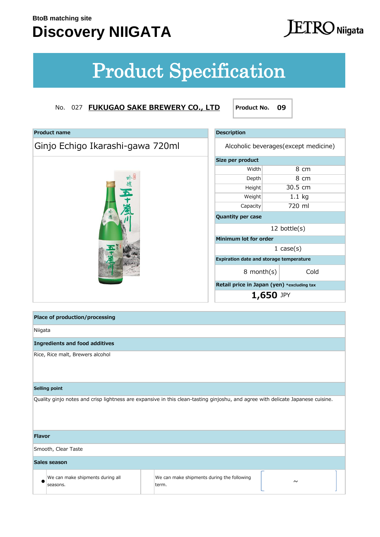## **Discovery NIIGATA**

# **ETRO** Niigata

# Product Specification

### No. 027 **FUKUGAO SAKE BREWERY CO., LTD Product No. 09**

**Product name Description** 

| Ginjo Echigo Ikarashi-gawa 720ml                                                                                                |                                                     |                                            | Alcoholic beverages (except medicine) |                |  |
|---------------------------------------------------------------------------------------------------------------------------------|-----------------------------------------------------|--------------------------------------------|---------------------------------------|----------------|--|
|                                                                                                                                 |                                                     | Size per product                           |                                       |                |  |
|                                                                                                                                 |                                                     | Width                                      |                                       | 8 cm           |  |
|                                                                                                                                 |                                                     | Depth                                      |                                       | $8 \text{ cm}$ |  |
|                                                                                                                                 |                                                     | Height                                     | 30.5 cm                               |                |  |
|                                                                                                                                 | Weight                                              | $1.1$ kg                                   |                                       |                |  |
|                                                                                                                                 |                                                     | Capacity                                   | 720 ml                                |                |  |
|                                                                                                                                 |                                                     | Quantity per case                          |                                       |                |  |
|                                                                                                                                 | 12 bottle(s)                                        |                                            |                                       |                |  |
|                                                                                                                                 |                                                     | Minimum lot for order                      |                                       |                |  |
|                                                                                                                                 |                                                     |                                            | $1 \cose(s)$                          |                |  |
|                                                                                                                                 | Expiration date and storage temperature             |                                            |                                       |                |  |
|                                                                                                                                 |                                                     | 8 month(s)                                 |                                       | Cold           |  |
|                                                                                                                                 |                                                     | Retail price in Japan (yen) *excluding tax |                                       |                |  |
|                                                                                                                                 |                                                     | 1,650 JPY                                  |                                       |                |  |
|                                                                                                                                 |                                                     |                                            |                                       |                |  |
| Place of production/processing                                                                                                  |                                                     |                                            |                                       |                |  |
| Niigata                                                                                                                         |                                                     |                                            |                                       |                |  |
| <b>Ingredients and food additives</b>                                                                                           |                                                     |                                            |                                       |                |  |
| Rice, Rice malt, Brewers alcohol                                                                                                |                                                     |                                            |                                       |                |  |
| Selling point                                                                                                                   |                                                     |                                            |                                       |                |  |
| Quality ginjo notes and crisp lightness are expansive in this clean-tasting ginjoshu, and agree with delicate Japanese cuisine. |                                                     |                                            |                                       |                |  |
| <b>Flavor</b>                                                                                                                   |                                                     |                                            |                                       |                |  |
| Smooth, Clear Taste                                                                                                             |                                                     |                                            |                                       |                |  |
| Sales season                                                                                                                    |                                                     |                                            |                                       |                |  |
| We can make shipments during all<br>seasons.                                                                                    | We can make shipments during the following<br>term. |                                            | $\sim$                                |                |  |